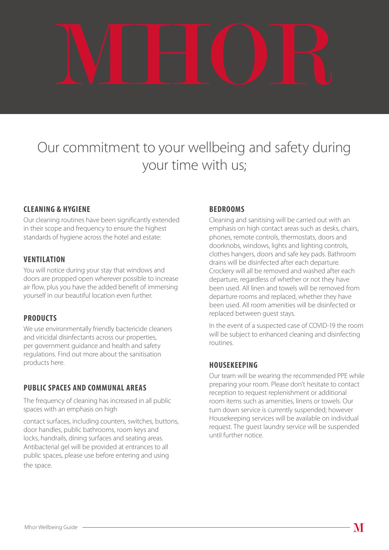

# Our commitment to your wellbeing and safety during your time with us;

## **CLEANING & HYGIENE**

Our cleaning routines have been significantly extended in their scope and frequency to ensure the highest standards of hygiene across the hotel and estate:

#### **VENTILATION**

You will notice during your stay that windows and doors are propped open wherever possible to increase air flow, plus you have the added benefit of immersing yourself in our beautiful location even further.

## **PRODUCTS**

We use environmentally friendly bactericide cleaners and viricidal disinfectants across our properties, per government guidance and health and safety regulations. Find out more about the sanitisation products here.

## **PUBLIC SPACES AND COMMUNAL AREAS**

The frequency of cleaning has increased in all public spaces with an emphasis on high

contact surfaces, including counters, switches, buttons, door handles, public bathrooms, room keys and locks, handrails, dining surfaces and seating areas. Antibacterial gel will be provided at entrances to all public spaces, please use before entering and using the space.

#### **BEDROOMS**

Cleaning and sanitising will be carried out with an emphasis on high contact areas such as desks, chairs, phones, remote controls, thermostats, doors and doorknobs, windows, lights and lighting controls, clothes hangers, doors and safe key pads. Bathroom drains will be disinfected after each departure. Crockery will all be removed and washed after each departure, regardless of whether or not they have been used. All linen and towels will be removed from departure rooms and replaced, whether they have been used. All room amenities will be disinfected or replaced between guest stays.

In the event of a suspected case of COVID-19 the room will be subject to enhanced cleaning and disinfecting routines.

## **HOUSEKEEPING**

Our team will be wearing the recommended PPE while preparing your room. Please don't hesitate to contact reception to request replenishment or additional room items such as amenities, linens or towels. Our turn down service is currently suspended; however Housekeeping services will be available on individual request. The guest laundry service will be suspended until further notice.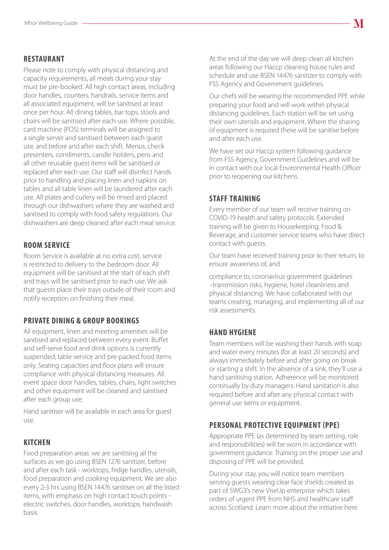#### **RESTAURANT**

Please note to comply with physical distancing and capacity requirements, all meals during your stay must be pre-booked. All high contact areas, including door handles, counters, handrails, service items and all associated equipment, will be sanitised at least once per hour. All dining tables, bar tops, stools and chairs will be sanitised after each use. Where possible, card machine (POS) terminals will be assigned to a single server and sanitised between each guest use, and before and after each shift. Menus, check presenters, condiments, candle holders, pens and all other reusable guest items will be sanitised or replaced after each use. Our staff will disinfect hands prior to handling and placing linen and napkins on tables and all table linen will be laundered after each use. All plates and cutlery will be rinsed and placed through our dishwashers where they are washed and sanitised to comply with food safety regulations. Our dishwashers are deep cleaned after each meal service.

#### **ROOM SERVICE**

Room Service is available at no extra cost, service is restricted to delivery to the bedroom door. All equipment will be sanitised at the start of each shift and trays will be sanitised prior to each use. We ask that guests place their trays outside of their room and notify reception on finishing their meal.

## **PRIVATE DINING & GROUP BOOKINGS**

All equipment, linen and meeting amenities will be sanitised and replaced between every event. Buffet and self-serve food and drink options is currently suspended; table service and pre-packed food items only. Seating capacities and floor plans will ensure compliance with physical distancing measures. All event space door handles, tables, chairs, light switches and other equipment will be cleaned and sanitised after each group use.

Hand sanitiser will be available in each area for guest use.

#### **KITCHEN**

Food preparation areas: we are sanitising all the surfaces as we go using BSEN 1276 sanitizer, before and after each task - worktops, fridge handles, utensils, food preparation and cooking equipment. We are also every 2-3 hrs using BSEN 14476 sanitiser on all the listed items, with emphasis on high contact touch points electric switches, door handles, worktops, handwash basis.

At the end of the day we will deep clean all kitchen areas following our Haccp cleaning house rules and schedule and use BSEN 14476 sanitizer to comply with FSS Agency and Government guidelines.

Our chefs will be wearing the recommended PPE while preparing your food and will work within physical distancing guidelines. Each station will be set using their own utensils and equipment. Where the sharing of equipment is required these will be sanitise before and after each use.

We have set our Haccp system following guidance from FSS Agency, Government Guidelines and will be in contact with our local Environmental Health Officer prior to reopening our kitchens.

#### **STAFF TRAINING**

Every member of our team will receive training on COVID-19 health and safety protocols. Extended training will be given to Housekeeping, Food & Beverage, and customer service teams who have direct contact with guests.

Our team have received training prior to their return, to ensure awareness of, and

compliance to, coronavirus government guidelines –transmission risks, hygiene, hotel cleanliness and physical distancing. We have collaborated with our teams creating, managing, and implementing all of our risk assessments.

## **HAND HYGIENE**

Team members will be washing their hands with soap and water every minutes (for at least 20 seconds) and always immediately before and after going on break or starting a shift. In the absence of a sink, they'll use a hand sanitising station. Adherence will be monitored continually by duty managers. Hand sanitation is also required before and after any physical contact with general use items or equipment.

## **PERSONAL PROTECTIVE EQUIPMENT (PPE)**

Appropriate PPE (as determined by team setting, role and responsibilities) will be worn in accordance with government guidance. Training on the proper use and disposing of PPE will be provided.

During your stay, you will notice team members serving guests wearing clear face shields created as part of SWG3's new ViseUp enterprise which takes orders of urgent PPE from NHS and healthcare staff across Scotland. Learn more about the initiative here.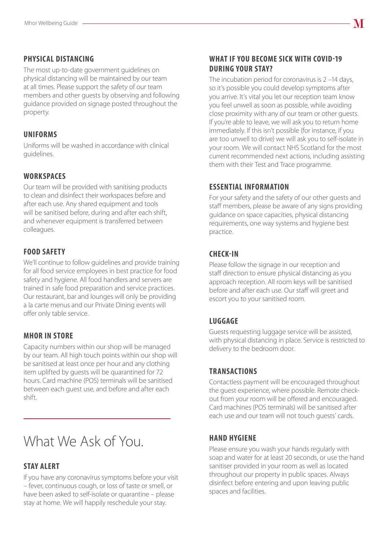#### **PHYSICAL DISTANCING**

The most up-to-date government guidelines on physical distancing will be maintained by our team at all times. Please support the safety of our team members and other guests by observing and following guidance provided on signage posted throughout the property.

#### **UNIFORMS**

Uniforms will be washed in accordance with clinical guidelines.

## **WORKSPACES**

Our team will be provided with sanitising products to clean and disinfect their workspaces before and after each use. Any shared equipment and tools will be sanitised before, during and after each shift, and whenever equipment is transferred between colleagues.

## **FOOD SAFETY**

We'll continue to follow guidelines and provide training for all food service employees in best practice for food safety and hygiene. All food handlers and servers are trained in safe food preparation and service practices. Our restaurant, bar and lounges will only be providing a la carte menus and our Private Dining events will offer only table service.

#### **MHOR IN STORE**

Capacity numbers within our shop will be managed by our team. All high touch points within our shop will be sanitised at least once per hour and any clothing item uplifted by guests will be quarantined for 72 hours. Card machine (POS) terminals will be sanitised between each guest use, and before and after each shift.

## What We Ask of You.

## **STAY ALERT**

If you have any coronavirus symptoms before your visit – fever, continuous cough, or loss of taste or smell, or have been asked to self-isolate or quarantine – please stay at home. We will happily reschedule your stay.

#### **WHAT IF YOU BECOME SICK WITH COVID-19 DURING YOUR STAY?**

The incubation period for coronavirus is 2 –14 days, so it's possible you could develop symptoms after you arrive. It's vital you let our reception team know you feel unwell as soon as possible, while avoiding close proximity with any of our team or other guests. If you're able to leave, we will ask you to return home immediately. If this isn't possible (for instance, if you are too unwell to drive) we will ask you to self-isolate in your room. We will contact NHS Scotland for the most current recommended next actions, including assisting them with their Test and Trace programme.

## **ESSENTIAL INFORMATION**

For your safety and the safety of our other guests and staff members, please be aware of any signs providing guidance on space capacities, physical distancing requirements, one way systems and hygiene best practice.

#### **CHECK-IN**

Please follow the signage in our reception and staff direction to ensure physical distancing as you approach reception. All room keys will be sanitised before and after each use. Our staff will greet and escort you to your sanitised room.

## **LUGGAGE**

Guests requesting luggage service will be assisted, with physical distancing in place. Service is restricted to delivery to the bedroom door.

## **TRANSACTIONS**

Contactless payment will be encouraged throughout the guest experience, where possible. Remote checkout from your room will be offered and encouraged. Card machines (POS terminals) will be sanitised after each use and our team will not touch guests' cards.

#### **HAND HYGIENE**

Please ensure you wash your hands regularly with soap and water for at least 20 seconds, or use the hand sanitiser provided in your room as well as located throughout our property in public spaces. Always disinfect before entering and upon leaving public spaces and facilities.